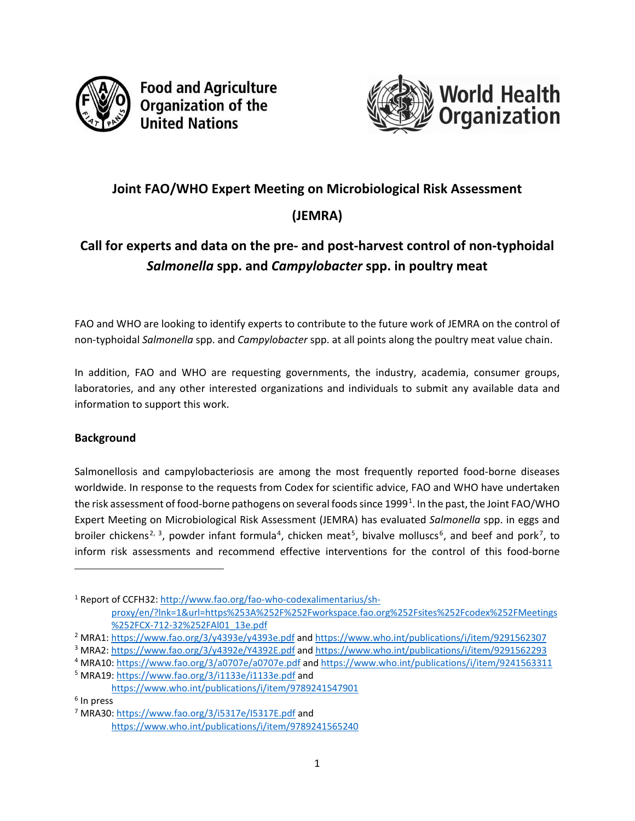

**Food and Agriculture Organization of the United Nations** 



# **Joint FAO/WHO Expert Meeting on Microbiological Risk Assessment (JEMRA)**

# **Call for experts and data on the pre- and post-harvest control of non-typhoidal**  *Salmonella* **spp. and** *Campylobacter* **spp. in poultry meat**

FAO and WHO are looking to identify experts to contribute to the future work of JEMRA on the control of non-typhoidal *Salmonella* spp. and *Campylobacter* spp. at all points along the poultry meat value chain.

In addition, FAO and WHO are requesting governments, the industry, academia, consumer groups, laboratories, and any other interested organizations and individuals to submit any available data and information to support this work.

#### **Background**

Salmonellosis and campylobacteriosis are among the most frequently reported food-borne diseases worldwide. In response to the requests from Codex for scientific advice, FAO and WHO have undertaken the risk assessment of food-borne pathogens on several foods since [1](#page-0-0)999<sup>1</sup>. In the past, the Joint FAO/WHO Expert Meeting on Microbiological Risk Assessment (JEMRA) has evaluated *Salmonella* spp. in eggs and broiler chickens<sup>[2](#page-0-1), [3](#page-0-2)</sup>, powder infant formula<sup>[4](#page-0-3)</sup>, chicken meat<sup>[5](#page-0-4)</sup>, bivalve molluscs<sup>[6](#page-0-5)</sup>, and beef and pork<sup>[7](#page-0-6)</sup>, to inform risk assessments and recommend effective interventions for the control of this food-borne

l

<span id="page-0-0"></span><sup>1</sup> Report of CCFH32[: http://www.fao.org/fao-who-codexalimentarius/sh](http://www.fao.org/fao-who-codexalimentarius/sh-proxy/en/?lnk=1&url=https%253A%252F%252Fworkspace.fao.org%252Fsites%252Fcodex%252FMeetings%252FCX-712-32%252FAl01_13e.pdf)[proxy/en/?lnk=1&url=https%253A%252F%252Fworkspace.fao.org%252Fsites%252Fcodex%252FMeetings](http://www.fao.org/fao-who-codexalimentarius/sh-proxy/en/?lnk=1&url=https%253A%252F%252Fworkspace.fao.org%252Fsites%252Fcodex%252FMeetings%252FCX-712-32%252FAl01_13e.pdf) [%252FCX-712-32%252FAl01\\_13e.pdf](http://www.fao.org/fao-who-codexalimentarius/sh-proxy/en/?lnk=1&url=https%253A%252F%252Fworkspace.fao.org%252Fsites%252Fcodex%252FMeetings%252FCX-712-32%252FAl01_13e.pdf)

<span id="page-0-1"></span><sup>2</sup> MRA1[: https://www.fao.org/3/y4393e/y4393e.pdf](https://www.fao.org/3/y4393e/y4393e.pdf) and<https://www.who.int/publications/i/item/9291562307>

<span id="page-0-2"></span><sup>3</sup> MRA2[: https://www.fao.org/3/y4392e/Y4392E.pdf](https://www.fao.org/3/y4392e/Y4392E.pdf) an[d https://www.who.int/publications/i/item/9291562293](https://www.who.int/publications/i/item/9291562293)

<span id="page-0-3"></span><sup>4</sup> MRA10[: https://www.fao.org/3/a0707e/a0707e.pdf](https://www.fao.org/3/a0707e/a0707e.pdf) an[d https://www.who.int/publications/i/item/9241563311](https://www.who.int/publications/i/item/9241563311)

<span id="page-0-4"></span><sup>5</sup> MRA19[: https://www.fao.org/3/i1133e/i1133e.pdf](https://www.fao.org/3/i1133e/i1133e.pdf) and

<https://www.who.int/publications/i/item/9789241547901>

<span id="page-0-5"></span><sup>6</sup> In press

<span id="page-0-6"></span><sup>7</sup> MRA30[: https://www.fao.org/3/i5317e/I5317E.pdf](https://www.fao.org/3/i5317e/I5317E.pdf) and <https://www.who.int/publications/i/item/9789241565240>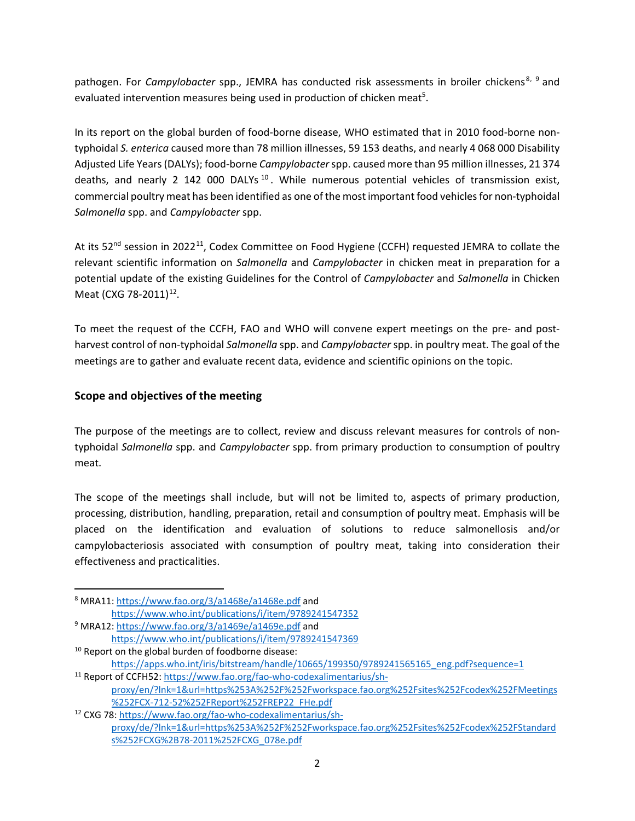pathogen. For *Campylobacter* spp., JEMRA has conducted risk assessments in broiler chickens<sup>[8](#page-1-0), [9](#page-1-1)</sup> and evaluated intervention measures being used in production of chicken meat<sup>5</sup>.

In its report on the global burden of food-borne disease, WHO estimated that in 2010 food-borne nontyphoidal *S. enterica* caused more than 78 million illnesses, 59 153 deaths, and nearly 4 068 000 Disability Adjusted Life Years (DALYs); food-borne *Campylobacter*spp. caused more than 95 million illnesses, 21 374 deaths, and nearly 2 142 000 DALYs<sup>[10](#page-1-2)</sup>. While numerous potential vehicles of transmission exist, commercial poultry meat has been identified as one of the most important food vehicles for non-typhoidal *Salmonella* spp. and *Campylobacter* spp.

At its 52<sup>nd</sup> session in 2022<sup>[11](#page-1-3)</sup>, Codex Committee on Food Hygiene (CCFH) requested JEMRA to collate the relevant scientific information on *Salmonella* and *Campylobacter* in chicken meat in preparation for a potential update of the existing Guidelines for the Control of *Campylobacter* and *Salmonella* in Chicken Meat (CXG 78-2011)<sup>[12](#page-1-4)</sup>.

To meet the request of the CCFH, FAO and WHO will convene expert meetings on the pre- and postharvest control of non-typhoidal *Salmonella* spp. and *Campylobacter* spp. in poultry meat. The goal of the meetings are to gather and evaluate recent data, evidence and scientific opinions on the topic.

#### **Scope and objectives of the meeting**

The purpose of the meetings are to collect, review and discuss relevant measures for controls of nontyphoidal *Salmonella* spp. and *Campylobacter* spp. from primary production to consumption of poultry meat.

The scope of the meetings shall include, but will not be limited to, aspects of primary production, processing, distribution, handling, preparation, retail and consumption of poultry meat. Emphasis will be placed on the identification and evaluation of solutions to reduce salmonellosis and/or campylobacteriosis associated with consumption of poultry meat, taking into consideration their effectiveness and practicalities.

<span id="page-1-0"></span> <sup>8</sup> MRA11[: https://www.fao.org/3/a1468e/a1468e.pdf](https://www.fao.org/3/a1468e/a1468e.pdf) and <https://www.who.int/publications/i/item/9789241547352>

<span id="page-1-1"></span><sup>9</sup> MRA12[: https://www.fao.org/3/a1469e/a1469e.pdf](https://www.fao.org/3/a1469e/a1469e.pdf) and <https://www.who.int/publications/i/item/9789241547369>

<span id="page-1-2"></span> $10$  Report on the global burden of foodborne disease: [https://apps.who.int/iris/bitstream/handle/10665/199350/9789241565165\\_eng.pdf?sequence=1](https://apps.who.int/iris/bitstream/handle/10665/199350/9789241565165_eng.pdf?sequence=1)

<span id="page-1-3"></span><sup>11</sup> Report of CCFH52: [https://www.fao.org/fao-who-codexalimentarius/sh](https://www.fao.org/fao-who-codexalimentarius/sh-proxy/en/?lnk=1&url=https%253A%252F%252Fworkspace.fao.org%252Fsites%252Fcodex%252FMeetings%252FCX-712-52%252FReport%252FREP22_FHe.pdf)[proxy/en/?lnk=1&url=https%253A%252F%252Fworkspace.fao.org%252Fsites%252Fcodex%252FMeetings](https://www.fao.org/fao-who-codexalimentarius/sh-proxy/en/?lnk=1&url=https%253A%252F%252Fworkspace.fao.org%252Fsites%252Fcodex%252FMeetings%252FCX-712-52%252FReport%252FREP22_FHe.pdf) [%252FCX-712-52%252FReport%252FREP22\\_FHe.pdf](https://www.fao.org/fao-who-codexalimentarius/sh-proxy/en/?lnk=1&url=https%253A%252F%252Fworkspace.fao.org%252Fsites%252Fcodex%252FMeetings%252FCX-712-52%252FReport%252FREP22_FHe.pdf)

<span id="page-1-4"></span><sup>12</sup> CXG 78: [https://www.fao.org/fao-who-codexalimentarius/sh](https://www.fao.org/fao-who-codexalimentarius/sh-proxy/de/?lnk=1&url=https%253A%252F%252Fworkspace.fao.org%252Fsites%252Fcodex%252FStandards%252FCXG%2B78-2011%252FCXG_078e.pdf)[proxy/de/?lnk=1&url=https%253A%252F%252Fworkspace.fao.org%252Fsites%252Fcodex%252FStandard](https://www.fao.org/fao-who-codexalimentarius/sh-proxy/de/?lnk=1&url=https%253A%252F%252Fworkspace.fao.org%252Fsites%252Fcodex%252FStandards%252FCXG%2B78-2011%252FCXG_078e.pdf) [s%252FCXG%2B78-2011%252FCXG\\_078e.pdf](https://www.fao.org/fao-who-codexalimentarius/sh-proxy/de/?lnk=1&url=https%253A%252F%252Fworkspace.fao.org%252Fsites%252Fcodex%252FStandards%252FCXG%2B78-2011%252FCXG_078e.pdf)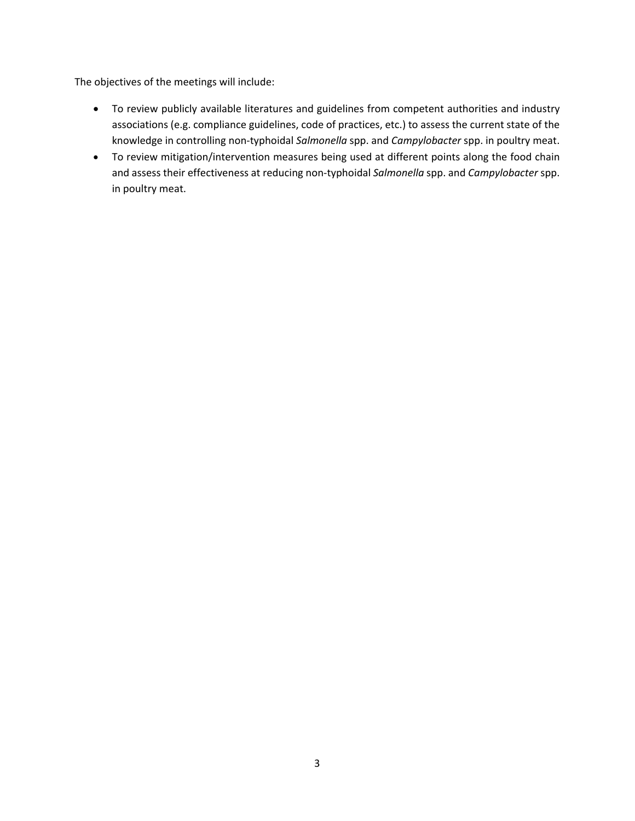The objectives of the meetings will include:

- To review publicly available literatures and guidelines from competent authorities and industry associations (e.g. compliance guidelines, code of practices, etc.) to assess the current state of the knowledge in controlling non-typhoidal *Salmonella* spp. and *Campylobacter* spp. in poultry meat.
- To review mitigation/intervention measures being used at different points along the food chain and assess their effectiveness at reducing non-typhoidal *Salmonella* spp. and *Campylobacter* spp. in poultry meat.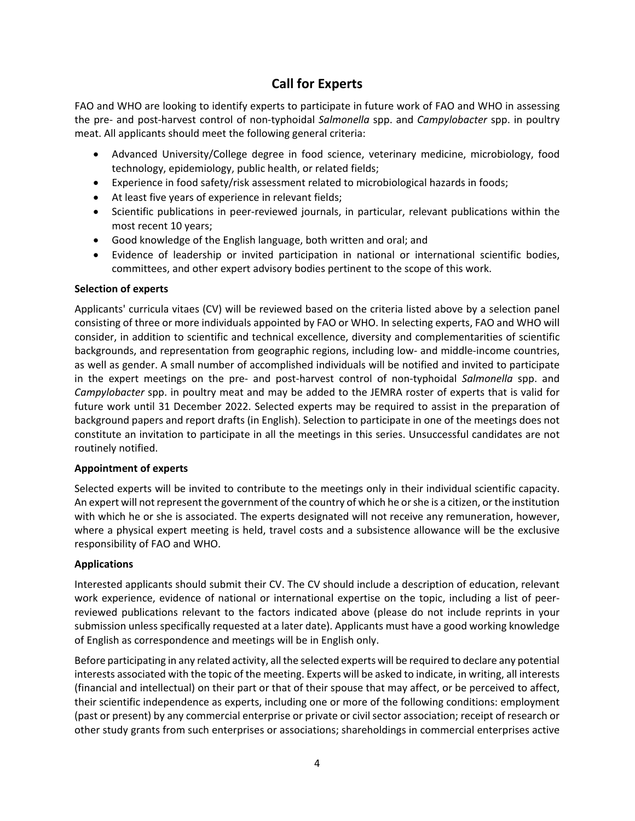### **Call for Experts**

FAO and WHO are looking to identify experts to participate in future work of FAO and WHO in assessing the pre- and post-harvest control of non-typhoidal *Salmonella* spp. and *Campylobacter* spp. in poultry meat. All applicants should meet the following general criteria:

- Advanced University/College degree in food science, veterinary medicine, microbiology, food technology, epidemiology, public health, or related fields;
- Experience in food safety/risk assessment related to microbiological hazards in foods;
- At least five years of experience in relevant fields;
- Scientific publications in peer-reviewed journals, in particular, relevant publications within the most recent 10 years;
- Good knowledge of the English language, both written and oral; and
- Evidence of leadership or invited participation in national or international scientific bodies, committees, and other expert advisory bodies pertinent to the scope of this work.

#### **Selection of experts**

Applicants' curricula vitaes (CV) will be reviewed based on the criteria listed above by a selection panel consisting of three or more individuals appointed by FAO or WHO. In selecting experts, FAO and WHO will consider, in addition to scientific and technical excellence, diversity and complementarities of scientific backgrounds, and representation from geographic regions, including low- and middle-income countries, as well as gender. A small number of accomplished individuals will be notified and invited to participate in the expert meetings on the pre- and post-harvest control of non-typhoidal *Salmonella* spp. and *Campylobacter* spp. in poultry meat and may be added to the JEMRA roster of experts that is valid for future work until 31 December 2022. Selected experts may be required to assist in the preparation of background papers and report drafts (in English). Selection to participate in one of the meetings does not constitute an invitation to participate in all the meetings in this series. Unsuccessful candidates are not routinely notified.

#### **Appointment of experts**

Selected experts will be invited to contribute to the meetings only in their individual scientific capacity. An expert will not represent the government of the country of which he or she is a citizen, or the institution with which he or she is associated. The experts designated will not receive any remuneration, however, where a physical expert meeting is held, travel costs and a subsistence allowance will be the exclusive responsibility of FAO and WHO.

#### **Applications**

Interested applicants should submit their CV. The CV should include a description of education, relevant work experience, evidence of national or international expertise on the topic, including a list of peerreviewed publications relevant to the factors indicated above (please do not include reprints in your submission unless specifically requested at a later date). Applicants must have a good working knowledge of English as correspondence and meetings will be in English only.

Before participating in any related activity, all the selected experts will be required to declare any potential interests associated with the topic of the meeting. Experts will be asked to indicate, in writing, all interests (financial and intellectual) on their part or that of their spouse that may affect, or be perceived to affect, their scientific independence as experts, including one or more of the following conditions: employment (past or present) by any commercial enterprise or private or civil sector association; receipt of research or other study grants from such enterprises or associations; shareholdings in commercial enterprises active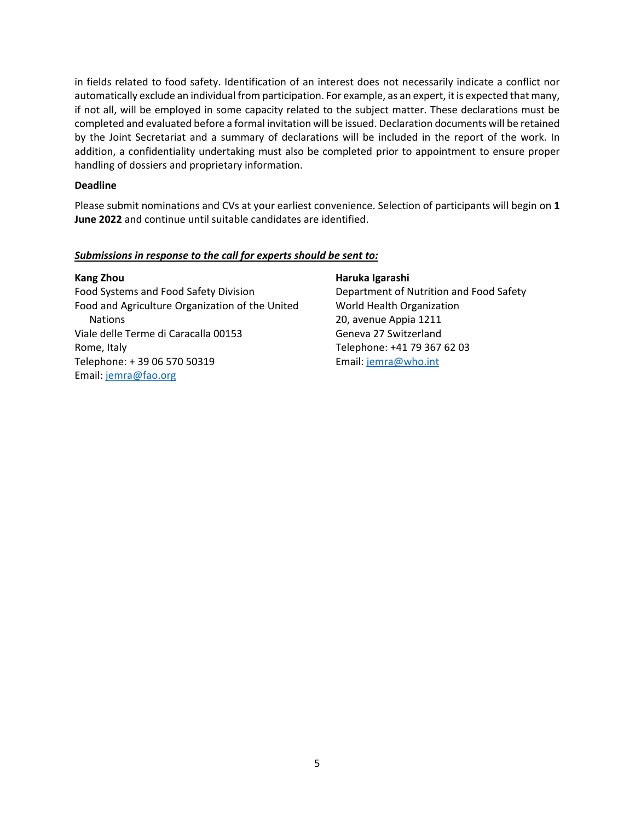in fields related to food safety. Identification of an interest does not necessarily indicate a conflict nor automatically exclude an individual from participation. For example, as an expert, it is expected that many, if not all, will be employed in some capacity related to the subject matter. These declarations must be completed and evaluated before a formal invitation will be issued. Declaration documents will be retained by the Joint Secretariat and a summary of declarations will be included in the report of the work. In addition, a confidentiality undertaking must also be completed prior to appointment to ensure proper handling of dossiers and proprietary information.

#### **Deadline**

Please submit nominations and CVs at your earliest convenience. Selection of participants will begin on **1 June 2022** and continue until suitable candidates are identified.

#### *Submissions in response to the call for experts should be sent to:*

#### **Kang Zhou**

Food Systems and Food Safety Division Food and Agriculture Organization of the United **Nations** Viale delle Terme di Caracalla 00153 Rome, Italy Telephone: + 39 06 570 50319 Email: [jemra@fao.org](mailto:jemra@fao.org)

#### **Haruka Igarashi**

Department of Nutrition and Food Safety World Health Organization 20, avenue Appia 1211 Geneva 27 Switzerland Telephone: +41 79 367 62 03 Email[: jemra@who.int](mailto:jemra@who.int)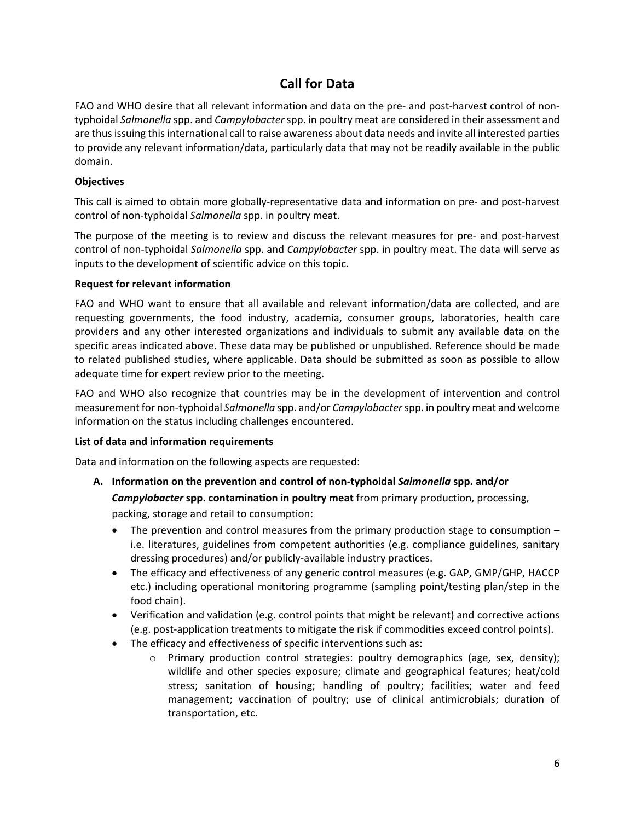## **Call for Data**

FAO and WHO desire that all relevant information and data on the pre- and post-harvest control of nontyphoidal *Salmonella* spp. and *Campylobacter* spp. in poultry meat are considered in their assessment and are thus issuing this international call to raise awareness about data needs and invite all interested parties to provide any relevant information/data, particularly data that may not be readily available in the public domain.

#### **Objectives**

This call is aimed to obtain more globally-representative data and information on pre- and post-harvest control of non-typhoidal *Salmonella* spp. in poultry meat.

The purpose of the meeting is to review and discuss the relevant measures for pre- and post-harvest control of non-typhoidal *Salmonella* spp. and *Campylobacter* spp. in poultry meat. The data will serve as inputs to the development of scientific advice on this topic.

#### **Request for relevant information**

FAO and WHO want to ensure that all available and relevant information/data are collected, and are requesting governments, the food industry, academia, consumer groups, laboratories, health care providers and any other interested organizations and individuals to submit any available data on the specific areas indicated above. These data may be published or unpublished. Reference should be made to related published studies, where applicable. Data should be submitted as soon as possible to allow adequate time for expert review prior to the meeting.

FAO and WHO also recognize that countries may be in the development of intervention and control measurement for non-typhoidal *Salmonella* spp. and/or *Campylobacter* spp. in poultry meat and welcome information on the status including challenges encountered.

#### **List of data and information requirements**

Data and information on the following aspects are requested:

**A. Information on the prevention and control of non-typhoidal** *Salmonella* **spp. and/or** 

*Campylobacter* **spp. contamination in poultry meat** from primary production, processing,

packing, storage and retail to consumption:

- The prevention and control measures from the primary production stage to consumption i.e. literatures, guidelines from competent authorities (e.g. compliance guidelines, sanitary dressing procedures) and/or publicly-available industry practices.
- The efficacy and effectiveness of any generic control measures (e.g. GAP, GMP/GHP, HACCP etc.) including operational monitoring programme (sampling point/testing plan/step in the food chain).
- Verification and validation (e.g. control points that might be relevant) and corrective actions (e.g. post-application treatments to mitigate the risk if commodities exceed control points).
- The efficacy and effectiveness of specific interventions such as:
	- o Primary production control strategies: poultry demographics (age, sex, density); wildlife and other species exposure; climate and geographical features; heat/cold stress; sanitation of housing; handling of poultry; facilities; water and feed management; vaccination of poultry; use of clinical antimicrobials; duration of transportation, etc.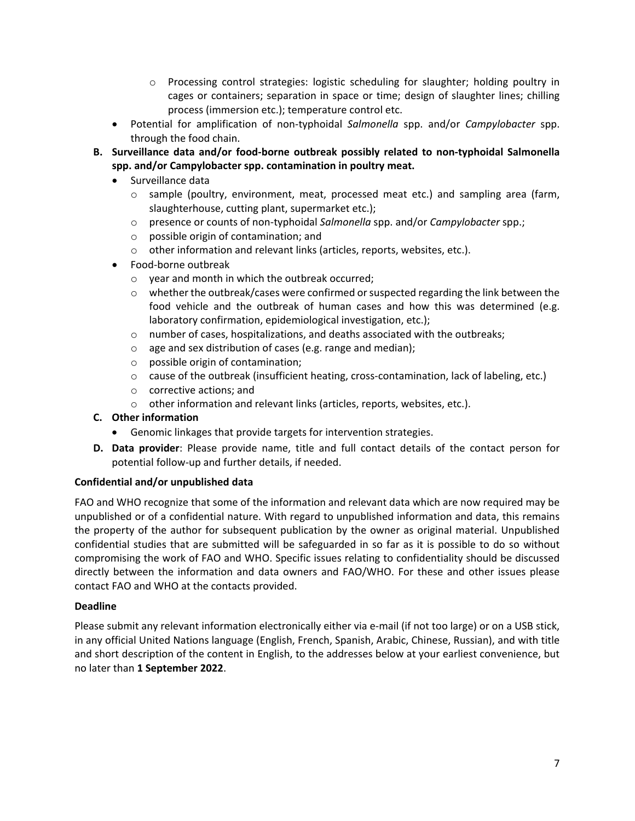- o Processing control strategies: logistic scheduling for slaughter; holding poultry in cages or containers; separation in space or time; design of slaughter lines; chilling process (immersion etc.); temperature control etc.
- Potential for amplification of non-typhoidal *Salmonella* spp. and/or *Campylobacter* spp. through the food chain.
- **B. Surveillance data and/or food-borne outbreak possibly related to non-typhoidal Salmonella spp. and/or Campylobacter spp. contamination in poultry meat.** 
	- Surveillance data
		- $\circ$  sample (poultry, environment, meat, processed meat etc.) and sampling area (farm, slaughterhouse, cutting plant, supermarket etc.);
		- o presence or counts of non-typhoidal *Salmonella* spp. and/or *Campylobacter* spp.;
		- o possible origin of contamination; and
		- o other information and relevant links (articles, reports, websites, etc.).
	- Food-borne outbreak
		- o year and month in which the outbreak occurred;
		- $\circ$  whether the outbreak/cases were confirmed or suspected regarding the link between the food vehicle and the outbreak of human cases and how this was determined (e.g. laboratory confirmation, epidemiological investigation, etc.);
		- o number of cases, hospitalizations, and deaths associated with the outbreaks;
		- o age and sex distribution of cases (e.g. range and median);
		- o possible origin of contamination;
		- o cause of the outbreak (insufficient heating, cross-contamination, lack of labeling, etc.)
		- o corrective actions; and
		- o other information and relevant links (articles, reports, websites, etc.).
- **C. Other information**
	- Genomic linkages that provide targets for intervention strategies.
- **D. Data provider**: Please provide name, title and full contact details of the contact person for potential follow-up and further details, if needed.

#### **Confidential and/or unpublished data**

FAO and WHO recognize that some of the information and relevant data which are now required may be unpublished or of a confidential nature. With regard to unpublished information and data, this remains the property of the author for subsequent publication by the owner as original material. Unpublished confidential studies that are submitted will be safeguarded in so far as it is possible to do so without compromising the work of FAO and WHO. Specific issues relating to confidentiality should be discussed directly between the information and data owners and FAO/WHO. For these and other issues please contact FAO and WHO at the contacts provided.

#### **Deadline**

Please submit any relevant information electronically either via e-mail (if not too large) or on a USB stick, in any official United Nations language (English, French, Spanish, Arabic, Chinese, Russian), and with title and short description of the content in English, to the addresses below at your earliest convenience, but no later than **1 September 2022**.